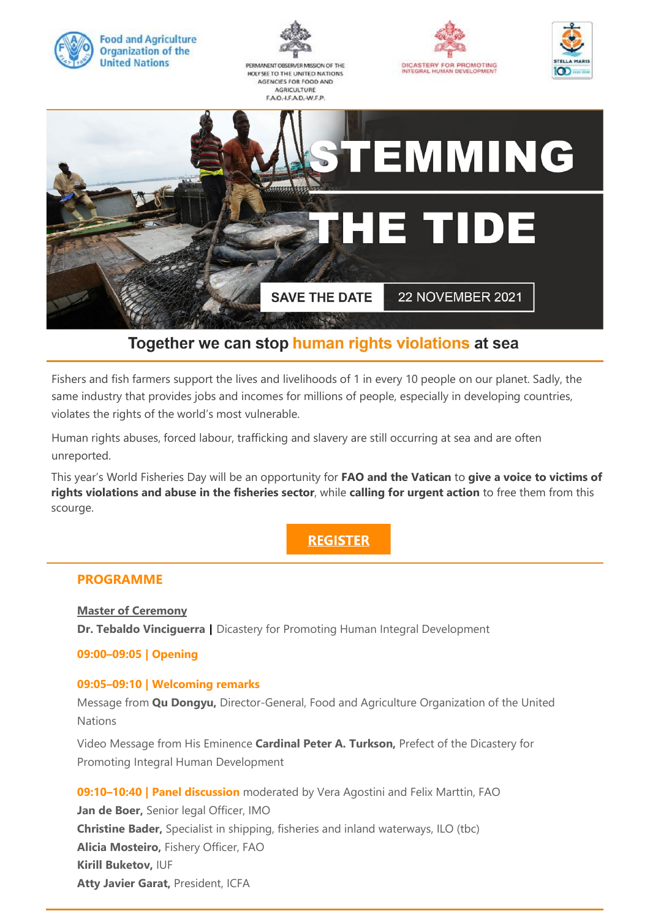

# Together we can stop human rights violations at sea

Fishers and fish farmers support the lives and livelihoods of 1 in every 10 people on our planet. Sadly, the same industry that provides jobs and incomes for millions of people, especially in developing countries, violates the rights of the world's most vulnerable.

Human rights abuses, forced labour, trafficking and slavery are still occurring at sea and are often unreported.

This year's World Fisheries Day will be an opportunity for **FAO and the Vatican** to **give a voice to victims of rights violations and abuse in the fisheries sector**, while **calling for urgent action** to free them from this scourge.

**REGISTER** 

### **PROGRAMME**

**Master of Ceremony Dr. Tebaldo Vinciguerra |** Dicastery for Promoting Human Integral Development

### **09:00–09:05 | Opening**

### **09:05–09:10 | Welcoming remarks**

Message from **Qu Dongyu,** Director-General, Food and Agriculture Organization of the United Nations

Video Message from His Eminence **Cardinal Peter A. Turkson,** Prefect of the Dicastery for Promoting Integral Human Development

**09:10–10:40 | Panel discussion** moderated by Vera Agostini and Felix Marttin, FAO **Jan de Boer,** Senior legal Officer, IMO **Christine Bader,** Specialist in shipping, fisheries and inland waterways, ILO (tbc) **Alicia Mosteiro,** Fishery Officer, FAO **Kirill Buketov,** IUF **Atty Javier Garat,** President, ICFA